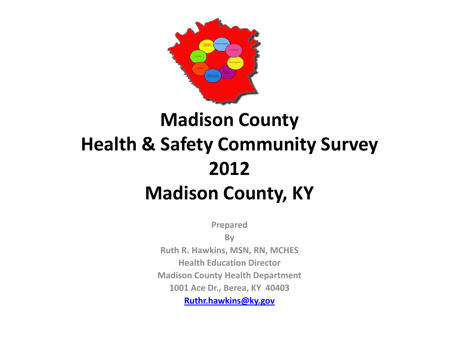

## **Madison County Health & Safety Community Survey 2012 Madison County, KY**

**Prepared** 

**By**

**Ruth R. Hawkins, MSN, RN, MCHES Health Education Director Madison County Health Department 1001 Ace Dr., Berea, KY 40403 [Ruthr.hawkins@ky.gov](mailto:Ruthr.hawkins@ky.gov)**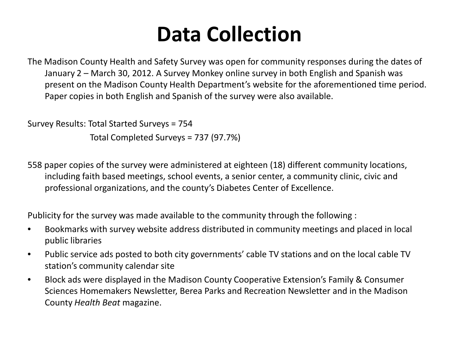# **Data Collection**

The Madison County Health and Safety Survey was open for community responses during the dates of January 2 – March 30, 2012. A Survey Monkey online survey in both English and Spanish was present on the Madison County Health Department's website for the aforementioned time period. Paper copies in both English and Spanish of the survey were also available.

Survey Results: Total Started Surveys = 754

Total Completed Surveys = 737 (97.7%)

558 paper copies of the survey were administered at eighteen (18) different community locations, including faith based meetings, school events, a senior center, a community clinic, civic and professional organizations, and the county's Diabetes Center of Excellence.

Publicity for the survey was made available to the community through the following :

- Bookmarks with survey website address distributed in community meetings and placed in local public libraries
- Public service ads posted to both city governments' cable TV stations and on the local cable TV station's community calendar site
- Block ads were displayed in the Madison County Cooperative Extension's Family & Consumer Sciences Homemakers Newsletter, Berea Parks and Recreation Newsletter and in the Madison County *Health Beat* magazine.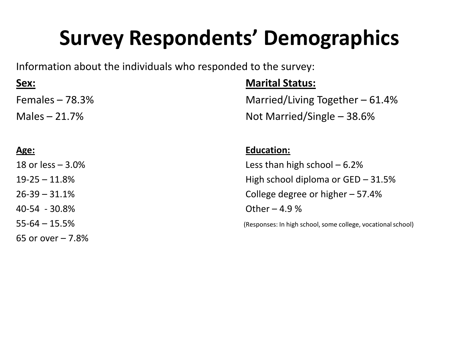# **Survey Respondents' Demographics**

Information about the individuals who responded to the survey:

| <u>Sex:</u>        | <b>Marital Status:</b>                                       |
|--------------------|--------------------------------------------------------------|
| Females $-78.3%$   | Married/Living Together $-61.4%$                             |
| Males $-21.7%$     | Not Married/Single $-38.6%$                                  |
|                    |                                                              |
| <u>Age:</u>        | <b>Education:</b>                                            |
| 18 or less $-3.0%$ | Less than high school $-6.2%$                                |
| $19 - 25 - 11.8%$  | High school diploma or $GED - 31.5%$                         |
| $26 - 39 - 31.1%$  | College degree or higher $-57.4%$                            |
| 40-54 - 30.8%      | Other $-4.9%$                                                |
| $55 - 64 - 15.5%$  | (Responses: In high school, some college, vocational school) |
| 65 or over $-7.8%$ |                                                              |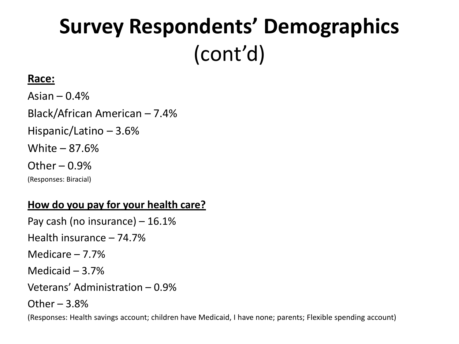# **Survey Respondents' Demographics**  (cont'd)

### **Race:**

Asian –  $0.4%$ Black/African American – 7.4% Hispanic/Latino – 3.6% White – 87.6% Other  $-0.9%$ (Responses: Biracial)

### **How do you pay for your health care?**

Pay cash (no insurance) – 16.1% Health insurance – 74.7% Medicare – 7.7% Medicaid – 3.7% Veterans' Administration – 0.9% Other  $-3.8%$ 

(Responses: Health savings account; children have Medicaid, I have none; parents; Flexible spending account)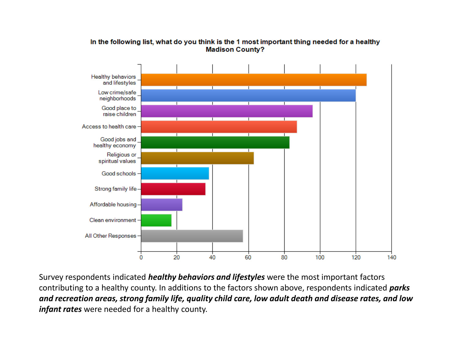

#### In the following list, what do you think is the 1 most important thing needed for a healthy **Madison County?**

Survey respondents indicated *healthy behaviors and lifestyles* were the most important factors contributing to a healthy county. In additions to the factors shown above, respondents indicated *parks and recreation areas, strong family life, quality child care, low adult death and disease rates, and low infant rates* were needed for a healthy county.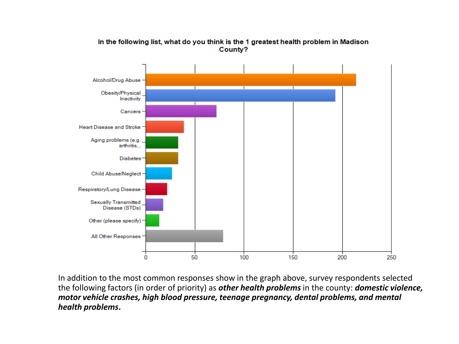

In the following list, what do you think is the 1 greatest health problem in Madison County?

In addition to the most common responses show in the graph above, survey respondents selected the following factors (in order of priority) as *other health problems* in the county: *domestic violence, motor vehicle crashes, high blood pressure, teenage pregnancy, dental problems, and mental health problems***.**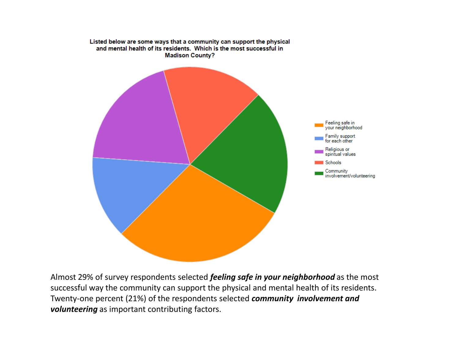

Almost 29% of survey respondents selected *feeling safe in your neighborhood* as the most successful way the community can support the physical and mental health of its residents. Twenty-one percent (21%) of the respondents selected *community involvement and volunteering* as important contributing factors.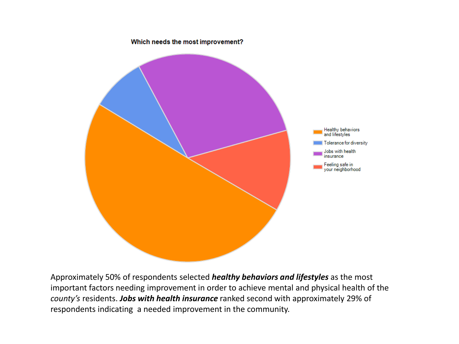

Approximately 50% of respondents selected *healthy behaviors and lifestyles* as the most important factors needing improvement in order to achieve mental and physical health of the *county's* residents. *Jobs with health insurance* ranked second with approximately 29% of respondents indicating a needed improvement in the community.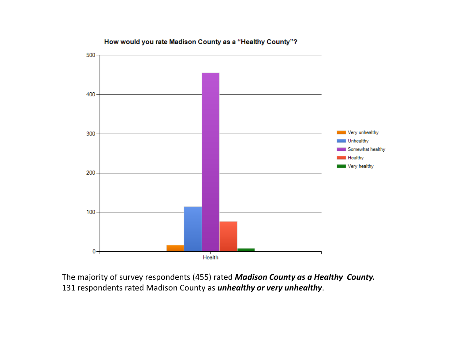

How would you rate Madison County as a "Healthy County"?

The majority of survey respondents (455) rated *Madison County as a Healthy County.*  131 respondents rated Madison County as *unhealthy or very unhealthy*.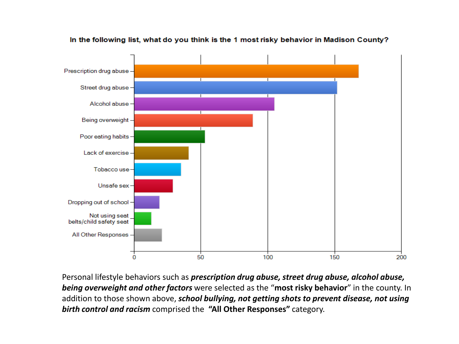

In the following list, what do you think is the 1 most risky behavior in Madison County?

Personal lifestyle behaviors such as *prescription drug abuse, street drug abuse, alcohol abuse, being overweight and other factors* were selected as the "**most risky behavior**" in the county. In addition to those shown above, *school bullying, not getting shots to prevent disease, not using birth control and racism* comprised the **"All Other Responses"** category.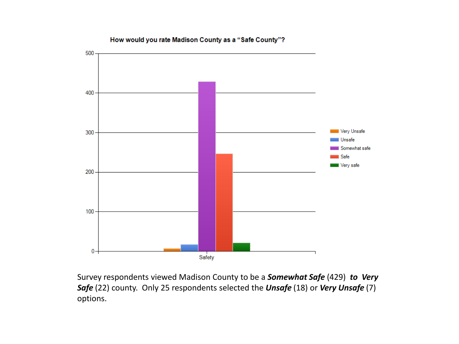

How would you rate Madison County as a "Safe County"?

Survey respondents viewed Madison County to be a *Somewhat Safe* (429) *to Very Safe* (22) county. Only 25 respondents selected the *Unsafe* (18) or *Very Unsafe* (7) options.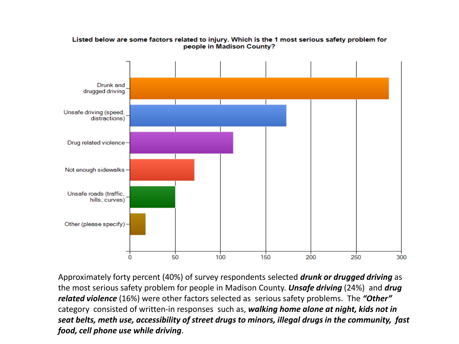

Listed below are some factors related to injury. Which is the 1 most serious safety problem for people in Madison County?

Approximately forty percent (40%) of survey respondents selected *drunk or drugged driving* as the most serious safety problem for people in Madison County. *Unsafe driving* (24%) and *drug related violence* (16%) were other factors selected as serious safety problems. The *"Other"*  category consisted of written-in responses such as, *walking home alone at night, kids not in seat belts, meth use, accessibility of street drugs to minors, illegal drugs in the community, fast food, cell phone use while driving*.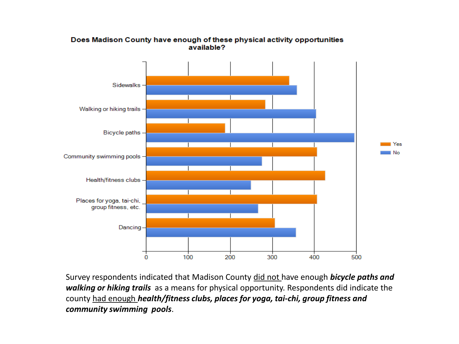

#### Does Madison County have enough of these physical activity opportunities available?

Survey respondents indicated that Madison County did not have enough *bicycle paths and walking or hiking trails* as a means for physical opportunity. Respondents did indicate the county had enough *health/fitness clubs, places for yoga, tai-chi, group fitness and community swimming pools*.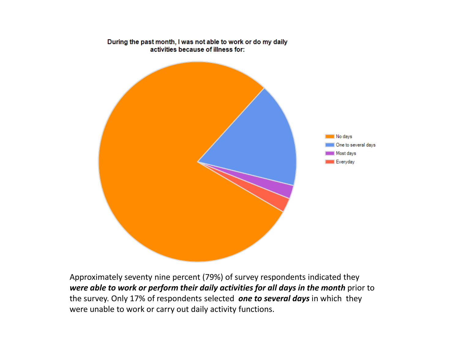

During the past month, I was not able to work or do my daily activities because of illness for:

Approximately seventy nine percent (79%) of survey respondents indicated they *were able to work or perform their daily activities for all days in the month* prior to the survey. Only 17% of respondents selected *one to several days* in which they were unable to work or carry out daily activity functions.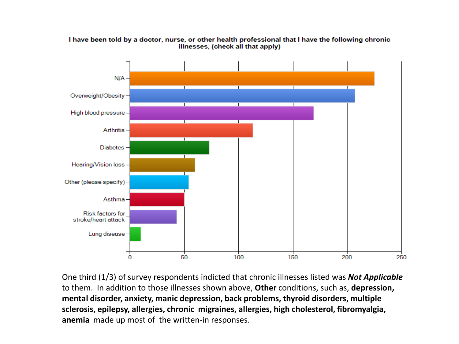

I have been told by a doctor, nurse, or other health professional that I have the following chronic illnesses, (check all that apply)

One third (1/3) of survey respondents indicted that chronic illnesses listed was *Not Applicable*  to them. In addition to those illnesses shown above, **Other** conditions, such as, **depression, mental disorder, anxiety, manic depression, back problems, thyroid disorders, multiple sclerosis, epilepsy, allergies, chronic migraines, allergies, high cholesterol, fibromyalgia, anemia** made up most of the written-in responses.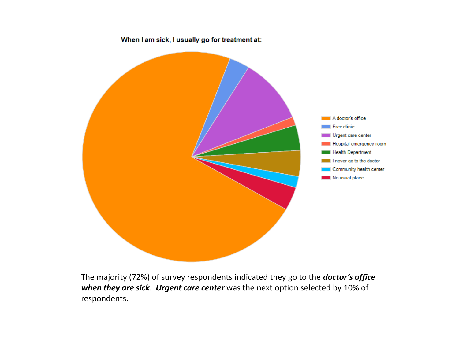

The majority (72%) of survey respondents indicated they go to the *doctor's office when they are sick*. *Urgent care center* was the next option selected by 10% of respondents.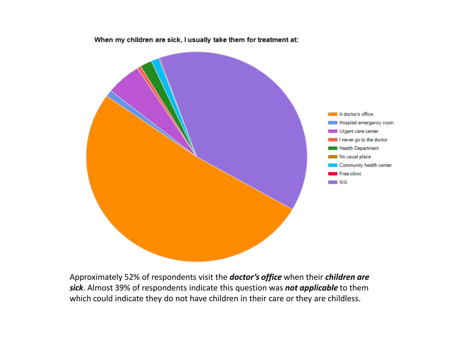

When my children are sick, I usually take them for treatment at:

Approximately 52% of respondents visit the *doctor's office* when their *children are sick*. Almost 39% of respondents indicate this question was *not applicable* to them which could indicate they do not have children in their care or they are childless.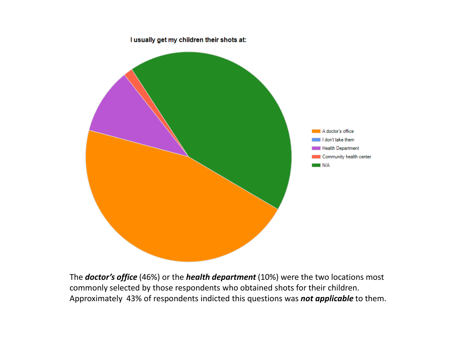

The *doctor's office* (46%) or the *health department* (10%) were the two locations most commonly selected by those respondents who obtained shots for their children. Approximately 43% of respondents indicted this questions was *not applicable* to them.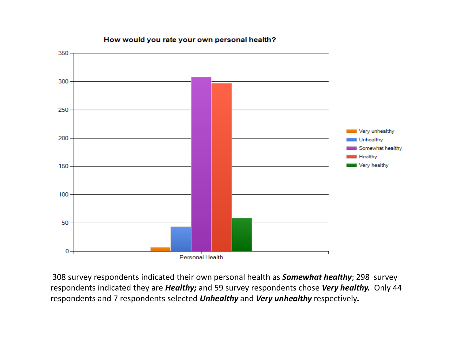

#### How would you rate your own personal health?

308 survey respondents indicated their own personal health as *Somewhat healthy*; 298 survey respondents indicated they are *Healthy;* and 59 survey respondents chose *Very healthy.* Only 44 respondents and 7 respondents selected *Unhealthy* and *Very unhealthy* respectively*.*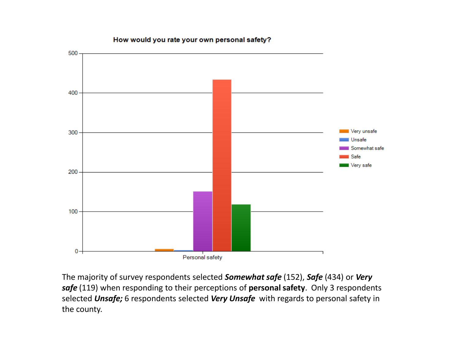## 500 400 Very unsafe 300 Unsafe Somewhat safe Safe ∎ Very safe 200 100 0 Personal safety

How would you rate your own personal safety?

The majority of survey respondents selected *Somewhat safe* (152), *Safe* (434) or *Very safe* (119) when responding to their perceptions of **personal safety**. Only 3 respondents selected *Unsafe;* 6 respondents selected *Very Unsafe* with regards to personal safety in the county.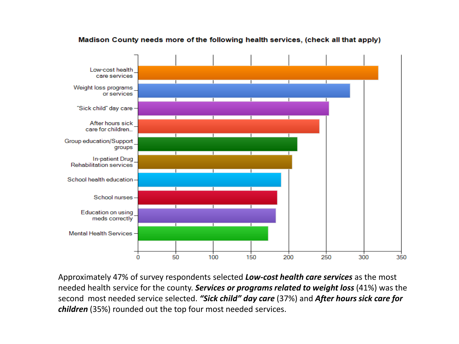

#### Madison County needs more of the following health services, (check all that apply)

Approximately 47% of survey respondents selected *Low-cost health care services* as the most needed health service for the county. *Services or programs related to weight loss* (41%) was the second most needed service selected. *"Sick child" day care* (37%) and *After hours sick care for children* (35%) rounded out the top four most needed services.